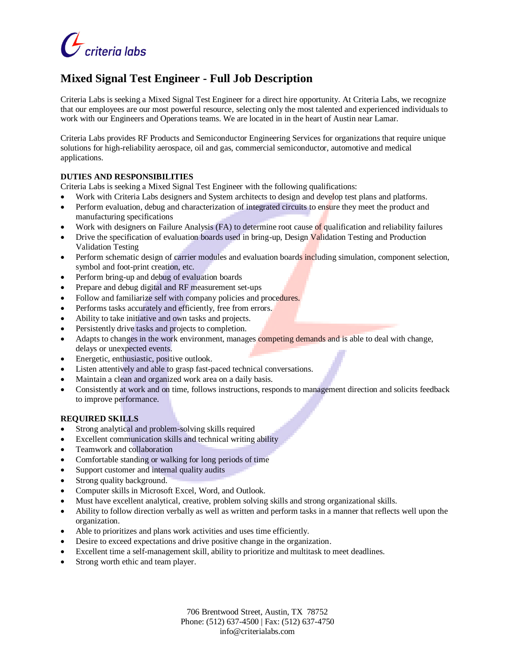

# **Mixed Signal Test Engineer - Full Job Description**

Criteria Labs is seeking a Mixed Signal Test Engineer for a direct hire opportunity. At Criteria Labs, we recognize that our employees are our most powerful resource, selecting only the most talented and experienced individuals to work with our Engineers and Operations teams. We are located in in the heart of Austin near Lamar.

Criteria Labs provides RF Products and Semiconductor Engineering Services for organizations that require unique solutions for high-reliability aerospace, oil and gas, commercial semiconductor, automotive and medical applications.

#### **DUTIES AND RESPONSIBILITIES**

Criteria Labs is seeking a Mixed Signal Test Engineer with the following qualifications:

- Work with Criteria Labs designers and System architects to design and develop test plans and platforms.
- Perform evaluation, debug and characterization of integrated circuits to ensure they meet the product and manufacturing specifications
- Work with designers on Failure Analysis (FA) to determine root cause of qualification and reliability failures
- Drive the specification of evaluation boards used in bring-up, Design Validation Testing and Production Validation Testing
- Perform schematic design of carrier modules and evaluation boards including simulation, component selection, symbol and foot-print creation, etc.
- Perform bring-up and debug of evaluation boards
- Prepare and debug digital and RF measurement set-ups
- Follow and familiarize self with company policies and procedures.
- Performs tasks accurately and efficiently, free from errors.
- Ability to take initiative and own tasks and projects.
- Persistently drive tasks and projects to completion.
- Adapts to changes in the work environment, manages competing demands and is able to deal with change, delays or unexpected events.
- Energetic, enthusiastic, positive outlook.
- Listen attentively and able to grasp fast-paced technical conversations.
- Maintain a clean and organized work area on a daily basis.
- Consistently at work and on time, follows instructions, responds to management direction and solicits feedback to improve performance.

#### **REQUIRED SKILLS**

- Strong analytical and problem-solving skills required
- Excellent communication skills and technical writing ability
- Teamwork and collaboration
- Comfortable standing or walking for long periods of time
- Support customer and internal quality audits
- Strong quality background.
- Computer skills in Microsoft Excel, Word, and Outlook.
- Must have excellent analytical, creative, problem solving skills and strong organizational skills.
- Ability to follow direction verbally as well as written and perform tasks in a manner that reflects well upon the organization.
- Able to prioritizes and plans work activities and uses time efficiently.
- Desire to exceed expectations and drive positive change in the organization.
- Excellent time a self-management skill, ability to prioritize and multitask to meet deadlines.
- Strong worth ethic and team player.

706 Brentwood Street, Austin, TX 78752 Phone: (512) 637-4500 | Fax: (512) 637-4750 info@criterialabs.com